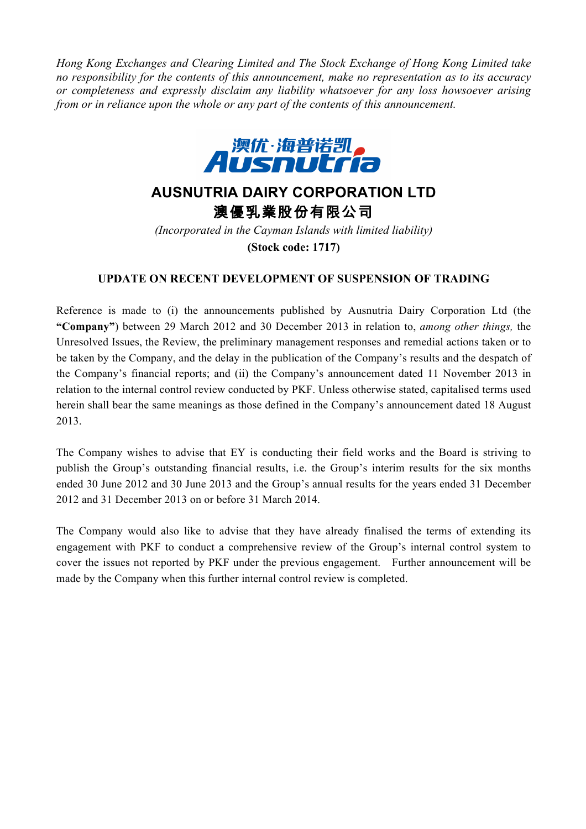*Hong Kong Exchanges and Clearing Limited and The Stock Exchange of Hong Kong Limited take no responsibility for the contents of this announcement, make no representation as to its accuracy or completeness and expressly disclaim any liability whatsoever for any loss howsoever arising from or in reliance upon the whole or any part of the contents of this announcement.*



## **AUSNUTRIA DAIRY CORPORATION LTD** 澳優乳業股份有限公司

*(Incorporated in the Cayman Islands with limited liability)* **(Stock code: 1717)**

## **UPDATE ON RECENT DEVELOPMENT OF SUSPENSION OF TRADING**

Reference is made to (i) the announcements published by Ausnutria Dairy Corporation Ltd (the **"Company"**) between 29 March 2012 and 30 December 2013 in relation to, *among other things,* the Unresolved Issues, the Review, the preliminary management responses and remedial actions taken or to be taken by the Company, and the delay in the publication of the Company's results and the despatch of the Company's financial reports; and (ii) the Company's announcement dated 11 November 2013 in relation to the internal control review conducted by PKF. Unless otherwise stated, capitalised terms used herein shall bear the same meanings as those defined in the Company's announcement dated 18 August 2013.

The Company wishes to advise that EY is conducting their field works and the Board is striving to publish the Group's outstanding financial results, i.e. the Group's interim results for the six months ended 30 June 2012 and 30 June 2013 and the Group's annual results for the years ended 31 December 2012 and 31 December 2013 on or before 31 March 2014.

The Company would also like to advise that they have already finalised the terms of extending its engagement with PKF to conduct a comprehensive review of the Group's internal control system to cover the issues not reported by PKF under the previous engagement. Further announcement will be made by the Company when this further internal control review is completed.